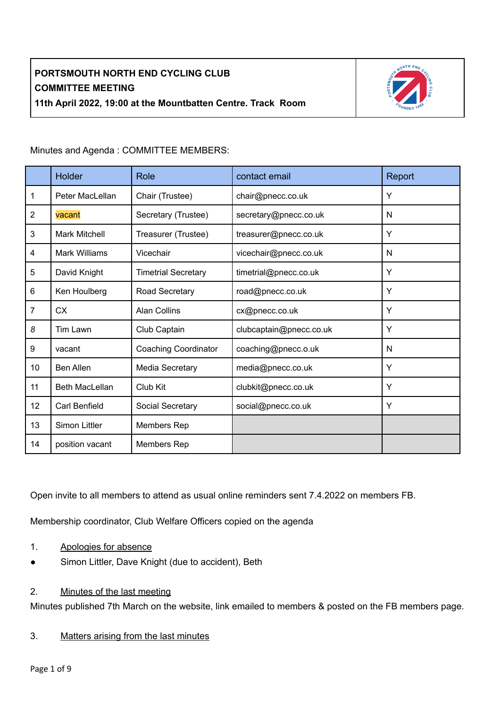

Minutes and Agenda : COMMITTEE MEMBERS:

|    | <b>Holder</b>         | Role                        | contact email           | Report |
|----|-----------------------|-----------------------------|-------------------------|--------|
| 1  | Peter MacLellan       | Chair (Trustee)             | chair@pnecc.co.uk       | Y      |
| 2  | vacant                | Secretary (Trustee)         | secretary@pnecc.co.uk   | N      |
| 3  | <b>Mark Mitchell</b>  | Treasurer (Trustee)         | treasurer@pnecc.co.uk   | Y      |
| 4  | <b>Mark Williams</b>  | Vicechair                   | vicechair@pnecc.co.uk   | N      |
| 5  | David Knight          | <b>Timetrial Secretary</b>  | timetrial@pnecc.co.uk   | Y      |
| 6  | Ken Houlberg          | Road Secretary              | road@pnecc.co.uk        | Y      |
| 7  | <b>CX</b>             | <b>Alan Collins</b>         | cx@pnecc.co.uk          | Y      |
| 8  | Tim Lawn              | Club Captain                | clubcaptain@pnecc.co.uk | Y      |
| 9  | vacant                | <b>Coaching Coordinator</b> | coaching@pnecc.o.uk     | N      |
| 10 | <b>Ben Allen</b>      | Media Secretary             | media@pnecc.co.uk       | Y      |
| 11 | <b>Beth MacLellan</b> | Club Kit                    | clubkit@pnecc.co.uk     | Y      |
| 12 | Carl Benfield         | Social Secretary            | social@pnecc.co.uk      | Y      |
| 13 | Simon Littler         | Members Rep                 |                         |        |
| 14 | position vacant       | Members Rep                 |                         |        |

Open invite to all members to attend as usual online reminders sent 7.4.2022 on members FB.

Membership coordinator, Club Welfare Officers copied on the agenda

- 1. Apologies for absence
- Simon Littler, Dave Knight (due to accident), Beth

### 2. Minutes of the last meeting

Minutes published 7th March on the website, link emailed to members & posted on the FB members page.

### 3. Matters arising from the last minutes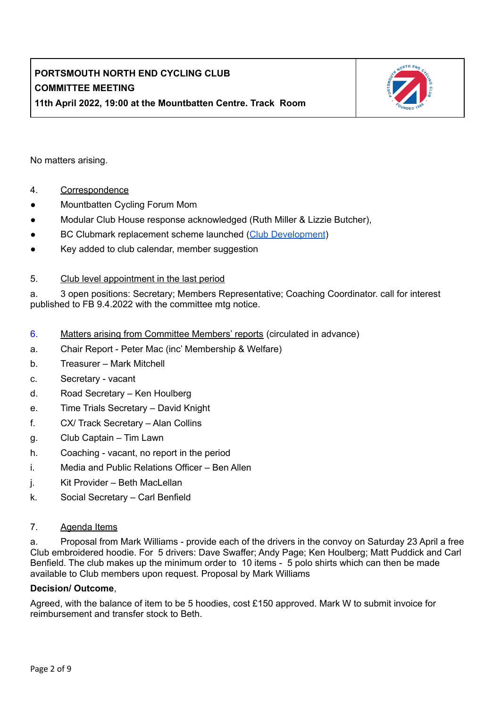

No matters arising.

- 4. Correspondence
- Mountbatten Cycling Forum Mom
- Modular Club House response acknowledged (Ruth Miller & Lizzie Butcher),
- BC Clubmark replacement scheme launched (Club [Development](https://www.britishcycling.org.uk/clubmark#:~:text=The%20British%20Cycling%20Club%20Development,are%20fun%2C%20inclusive%20and%20safe.))
- Key added to club calendar, member suggestion

### 5. Club level appointment in the last period

a. 3 open positions: Secretary; Members Representative; Coaching Coordinator. call for interest published to FB 9.4.2022 with the committee mtg notice.

- 6. Matters arising from Committee Members' reports (circulated in advance)
- a. Chair Report Peter Mac (inc' Membership & Welfare)
- b. Treasurer Mark Mitchell
- c. Secretary vacant
- d. Road Secretary Ken Houlberg
- e. Time Trials Secretary David Knight
- f. CX/ Track Secretary Alan Collins
- g. Club Captain Tim Lawn
- h. Coaching vacant, no report in the period
- i. Media and Public Relations Officer Ben Allen
- j. Kit Provider Beth MacLellan
- k. Social Secretary Carl Benfield

### 7. Agenda Items

a. Proposal from Mark Williams - provide each of the drivers in the convoy on Saturday 23 April a free Club embroidered hoodie. For 5 drivers: Dave Swaffer; Andy Page; Ken Houlberg; Matt Puddick and Carl Benfield. The club makes up the minimum order to 10 items - 5 polo shirts which can then be made available to Club members upon request. Proposal by Mark Williams

#### **Decision/ Outcome**,

Agreed, with the balance of item to be 5 hoodies, cost £150 approved. Mark W to submit invoice for reimbursement and transfer stock to Beth.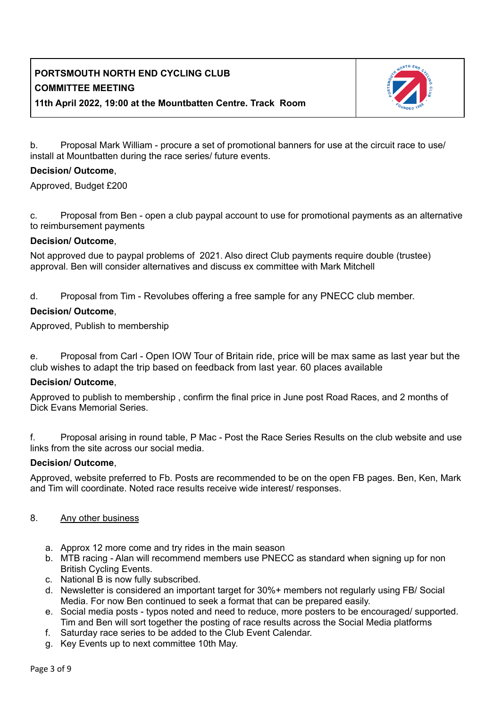### **PORTSMOUTH NORTH END CYCLING CLUB COMMITTEE MEETING 11th April 2022, 19:00 at the Mountbatten Centre. Track Room**



b. Proposal Mark William - procure a set of promotional banners for use at the circuit race to use/ install at Mountbatten during the race series/ future events.

### **Decision/ Outcome**,

Approved, Budget £200

c. Proposal from Ben - open a club paypal account to use for promotional payments as an alternative to reimbursement payments

#### **Decision/ Outcome**,

Not approved due to paypal problems of 2021. Also direct Club payments require double (trustee) approval. Ben will consider alternatives and discuss ex committee with Mark Mitchell

d. Proposal from Tim - Revolubes offering a free sample for any PNECC club member.

#### **Decision/ Outcome**,

Approved, Publish to membership

e. Proposal from Carl - Open IOW Tour of Britain ride, price will be max same as last year but the club wishes to adapt the trip based on feedback from last year. 60 places available

#### **Decision/ Outcome**,

Approved to publish to membership , confirm the final price in June post Road Races, and 2 months of Dick Evans Memorial Series.

f. Proposal arising in round table, P Mac - Post the Race Series Results on the club website and use links from the site across our social media.

### **Decision/ Outcome**,

Approved, website preferred to Fb. Posts are recommended to be on the open FB pages. Ben, Ken, Mark and Tim will coordinate. Noted race results receive wide interest/ responses.

### 8. Any other business

- a. Approx 12 more come and try rides in the main season
- b. MTB racing Alan will recommend members use PNECC as standard when signing up for non British Cycling Events.
- c. National B is now fully subscribed.
- d. Newsletter is considered an important target for 30%+ members not regularly using FB/ Social Media. For now Ben continued to seek a format that can be prepared easily.
- e. Social media posts typos noted and need to reduce, more posters to be encouraged/ supported. Tim and Ben will sort together the posting of race results across the Social Media platforms
- f. Saturday race series to be added to the Club Event Calendar.
- g. Key Events up to next committee 10th May.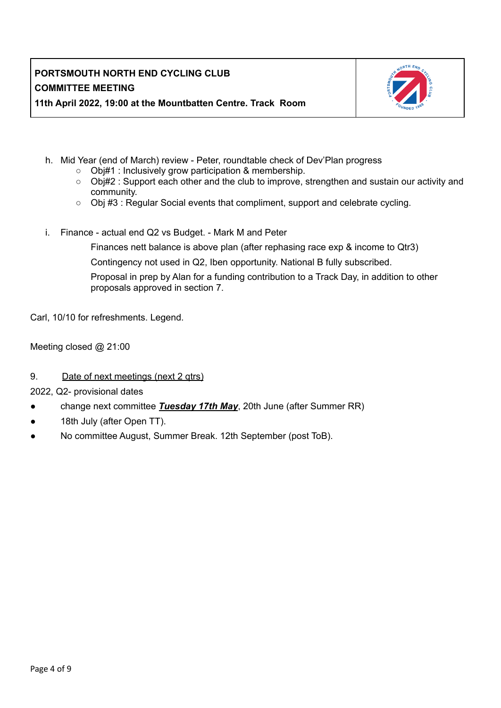

- h. Mid Year (end of March) review Peter, roundtable check of Dev'Plan progress
	- Obj#1 : Inclusively grow participation & membership.
	- Obj#2 : Support each other and the club to improve, strengthen and sustain our activity and community.
	- Obj #3 : Regular Social events that compliment, support and celebrate cycling.
- i. Finance actual end Q2 vs Budget. Mark M and Peter

Finances nett balance is above plan (after rephasing race exp & income to Qtr3)

Contingency not used in Q2, Iben opportunity. National B fully subscribed.

Proposal in prep by Alan for a funding contribution to a Track Day, in addition to other proposals approved in section 7.

Carl, 10/10 for refreshments. Legend.

Meeting closed @ 21:00

9. Date of next meetings (next 2 qtrs)

2022, Q2- provisional dates

- change next committee *Tuesday 17th May*, 20th June (after Summer RR)
- 18th July (after Open TT).
- No committee August, Summer Break. 12th September (post ToB).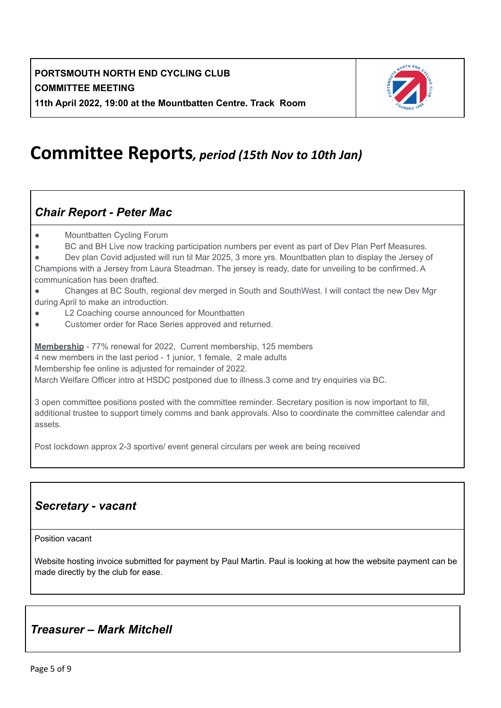

# **Committee Reports***, period (15th Nov to 10th Jan)*

# *Chair Report - Peter Mac*

- Mountbatten Cycling Forum
- BC and BH Live now tracking participation numbers per event as part of Dev Plan Perf Measures.

Dev plan Covid adjusted will run til Mar 2025, 3 more yrs. Mountbatten plan to display the Jersey of Champions with a Jersey from Laura Steadman. The jersey is ready, date for unveiling to be confirmed. A communication has been drafted.

● Changes at BC South, regional dev merged in South and SouthWest. I will contact the new Dev Mgr during April to make an introduction.

- L2 Coaching course announced for Mountbatten
- Customer order for Race Series approved and returned.

**Membership** - 77% renewal for 2022, Current membership, 125 members 4 new members in the last period - 1 junior, 1 female, 2 male adults Membership fee online is adjusted for remainder of 2022. March Welfare Officer intro at HSDC postponed due to illness.3 come and try enquiries via BC.

3 open committee positions posted with the committee reminder. Secretary position is now important to fill, additional trustee to support timely comms and bank approvals. Also to coordinate the committee calendar and assets.

Post lockdown approx 2-3 sportive/ event general circulars per week are being received

### *Secretary - vacant*

Position vacant

Website hosting invoice submitted for payment by Paul Martin. Paul is looking at how the website payment can be made directly by the club for ease.

### *Treasurer – Mark Mitchell*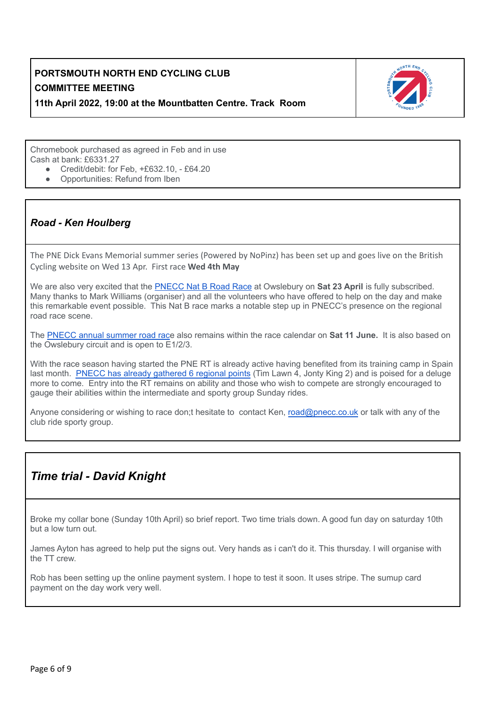### **PORTSMOUTH NORTH END CYCLING CLUB COMMITTEE MEETING 11th April 2022, 19:00 at the Mountbatten Centre. Track Room**



Chromebook purchased as agreed in Feb and in use Cash at bank: £6331.27

- Credit/debit: for Feb, +£632.10, £64.20
- Opportunities: Refund from Iben

### *Road - Ken Houlberg*

The PNE Dick Evans Memorial summer series (Powered by NoPinz) has been set up and goes live on the British Cycling website on Wed 13 Apr. First race **Wed 4th May**

We are also very excited that the [PNECC](https://www.britishcycling.org.uk/events/details/254990/PNE-National-B) Nat B Road Race at Owslebury on **Sat 23 April** is fully subscribed. Many thanks to Mark Williams (organiser) and all the volunteers who have offered to help on the day and make this remarkable event possible. This Nat B race marks a notable step up in PNECC's presence on the regional road race scene.

The PNECC annual [summer](https://www.britishcycling.org.uk/events/details/254989/Portsmouth-North-End-CC-Summer-Road-Race) road race also remains within the race calendar on **Sat 11 June.** It is also based on the Owslebury circuit and is open to E1/2/3.

With the race season having started the PNE RT is already active having benefited from its training camp in Spain last month. PNECC has already [gathered](https://www.britishcycling.org.uk/clubpoints?club_id=3158&year=2022&type=regional&resultsperpage=100) 6 regional points (Tim Lawn 4, Jonty King 2) and is poised for a deluge more to come. Entry into the RT remains on ability and those who wish to compete are strongly encouraged to gauge their abilities within the intermediate and sporty group Sunday rides.

Anyone considering or wishing to race don;t hesitate to contact Ken, [road@pnecc.co.uk](mailto:road@pnecc.co.uk) or talk with any of the club ride sporty group.

# *Time trial - David Knight*

Broke my collar bone (Sunday 10th April) so brief report. Two time trials down. A good fun day on saturday 10th but a low turn out.

James Ayton has agreed to help put the signs out. Very hands as i can't do it. This thursday. I will organise with the TT crew.

Rob has been setting up the online payment system. I hope to test it soon. It uses stripe. The sumup card payment on the day work very well.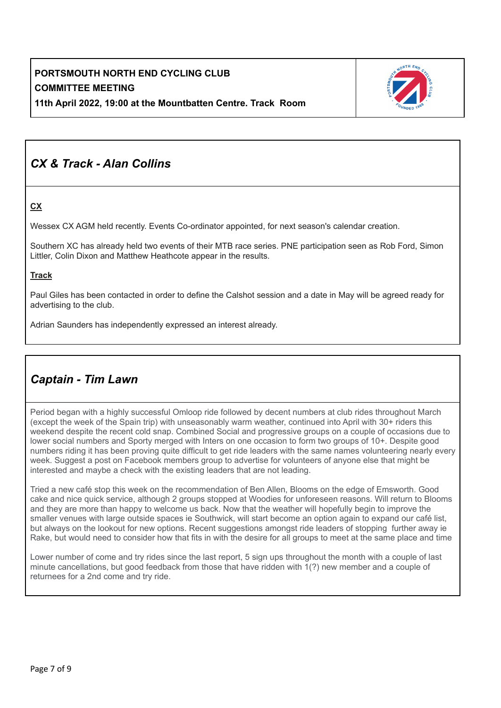

# *CX & Track - Alan Collins*

### **CX**

Wessex CX AGM held recently. Events Co-ordinator appointed, for next season's calendar creation.

Southern XC has already held two events of their MTB race series. PNE participation seen as Rob Ford, Simon Littler, Colin Dixon and Matthew Heathcote appear in the results.

### **Track**

Paul Giles has been contacted in order to define the Calshot session and a date in May will be agreed ready for advertising to the club.

Adrian Saunders has independently expressed an interest already.

# *Captain - Tim Lawn*

Period began with a highly successful Omloop ride followed by decent numbers at club rides throughout March (except the week of the Spain trip) with unseasonably warm weather, continued into April with 30+ riders this weekend despite the recent cold snap. Combined Social and progressive groups on a couple of occasions due to lower social numbers and Sporty merged with Inters on one occasion to form two groups of 10+. Despite good numbers riding it has been proving quite difficult to get ride leaders with the same names volunteering nearly every week. Suggest a post on Facebook members group to advertise for volunteers of anyone else that might be interested and maybe a check with the existing leaders that are not leading.

Tried a new café stop this week on the recommendation of Ben Allen, Blooms on the edge of Emsworth. Good cake and nice quick service, although 2 groups stopped at Woodies for unforeseen reasons. Will return to Blooms and they are more than happy to welcome us back. Now that the weather will hopefully begin to improve the smaller venues with large outside spaces ie Southwick, will start become an option again to expand our café list, but always on the lookout for new options. Recent suggestions amongst ride leaders of stopping further away ie Rake, but would need to consider how that fits in with the desire for all groups to meet at the same place and time

Lower number of come and try rides since the last report, 5 sign ups throughout the month with a couple of last minute cancellations, but good feedback from those that have ridden with 1(?) new member and a couple of returnees for a 2nd come and try ride.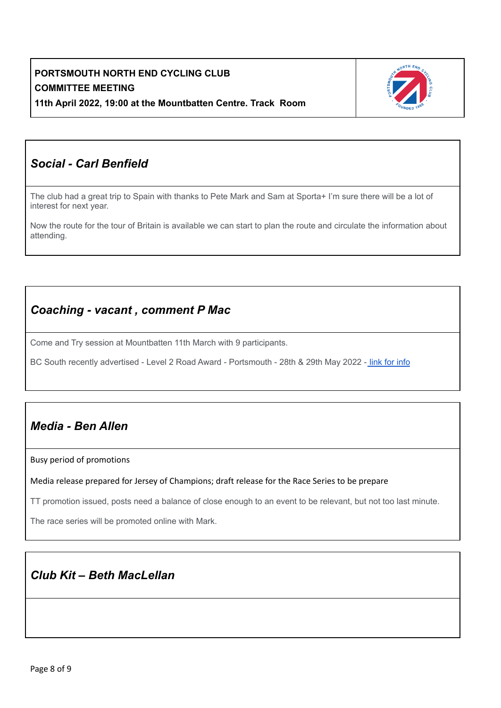

# *Social - Carl Benfield*

The club had a great trip to Spain with thanks to Pete Mark and Sam at Sporta+ I'm sure there will be a lot of interest for next year.

Now the route for the tour of Britain is available we can start to plan the route and circulate the information about attending.

# *Coaching - vacant , comment P Mac*

Come and Try session at Mountbatten 11th March with 9 participants.

BC South recently advertised - Level 2 Road Award - Portsmouth - 28th & 29th May 2022 - link for [info](https://www.britishcycling.org.uk/events/course/details/7334?fbclid=IwAR14f-U6CCnE2DdSUhelXEzFypyXAI6j6KVsJxNwmq3nAJ6efMk4EYaPZww)

# *Media - Ben Allen*

Busy period of promotions

Media release prepared for Jersey of Champions; draft release for the Race Series to be prepare

TT promotion issued, posts need a balance of close enough to an event to be relevant, but not too last minute.

The race series will be promoted online with Mark.

### *Club Kit – Beth MacLellan*